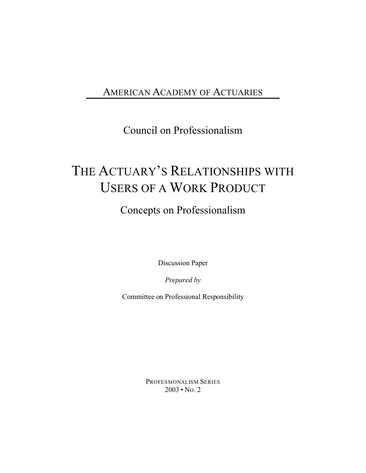#### AMERICAN ACADEMY OF ACTUARIES

Council on Professionalism

# THE ACTUARY'S RELATIONSHIPS WITH USERS OF A WORK PRODUCT

Concepts on Professionalism

Discussion Paper

*Prepared by*

Committee on Professional Responsibility

PROFESSIONALISM SERIES 2003 • NO. 2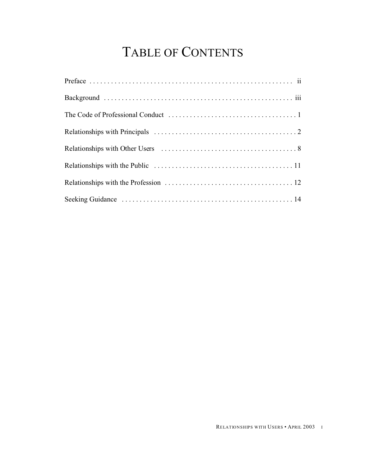# TABLE OF CONTENTS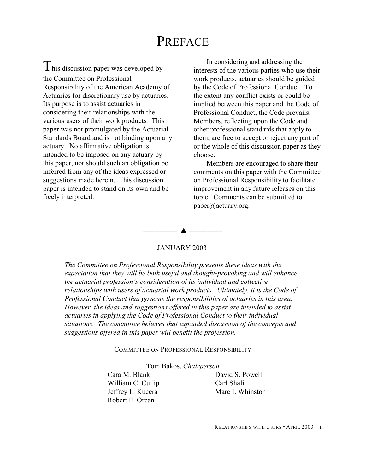#### PREFACE

 $\mathbf I$  his discussion paper was developed by the Committee on Professional Responsibility of the American Academy of Actuaries for discretionary use by actuaries. Its purpose is to assist actuaries in considering their relationships with the various users of their work products. This paper was not promulgated by the Actuarial Standards Board and is not binding upon any actuary. No affirmative obligation is intended to be imposed on any actuary by this paper, nor should such an obligation be inferred from any of the ideas expressed or suggestions made herein. This discussion paper is intended to stand on its own and be freely interpreted.

In considering and addressing the interests of the various parties who use their work products, actuaries should be guided by the Code of Professional Conduct. To the extent any conflict exists or could be implied between this paper and the Code of Professional Conduct, the Code prevails. Members, reflecting upon the Code and other professional standards that apply to them, are free to accept or reject any part of or the whole of this discussion paper as they choose.

Members are encouraged to share their comments on this paper with the Committee on Professional Responsibility to facilitate improvement in any future releases on this topic. Comments can be submitted to paper@actuary.org.

#### JANUARY 2003

<u>--------- A ---------</u>

*The Committee on Professional Responsibility presents these ideas with the expectation that they will be both useful and thought-provoking and will enhance the actuarial profession's consideration of its individual and collective relationships with users of actuarial work products. Ultimately, it is the Code of Professional Conduct that governs the responsibilities of actuaries in this area. However, the ideas and suggestions offered in this paper are intended to assist actuaries in applying the Code of Professional Conduct to their individual situations. The committee believes that expanded discussion of the concepts and suggestions offered in this paper will benefit the profession.*

#### COMMITTEE ON PROFESSIONAL RESPONSIBILITY

Tom Bakos, *Chairperson*

Cara M. Blank David S. Powell William C. Cutlip Carl Shalit Jeffrey L. Kucera Marc I. Whinston Robert E. Orean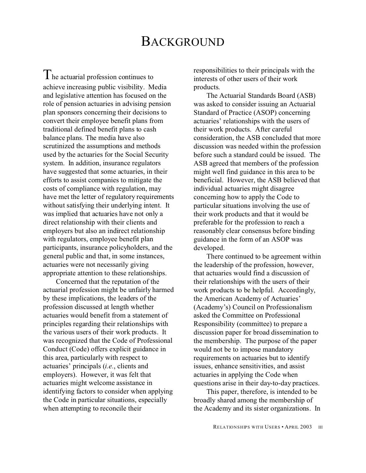#### BACKGROUND

 $T_{\text{he actual profession continues to}}$ achieve increasing public visibility. Media and legislative attention has focused on the role of pension actuaries in advising pension plan sponsors concerning their decisions to convert their employee benefit plans from traditional defined benefit plans to cash balance plans. The media have also scrutinized the assumptions and methods used by the actuaries for the Social Security system. In addition, insurance regulators have suggested that some actuaries, in their efforts to assist companies to mitigate the costs of compliance with regulation, may have met the letter of regulatory requirements without satisfying their underlying intent. It was implied that actuaries have not only a direct relationship with their clients and employers but also an indirect relationship with regulators, employee benefit plan participants, insurance policyholders, and the general public and that, in some instances, actuaries were not necessarily giving appropriate attention to these relationships.

Concerned that the reputation of the actuarial profession might be unfairly harmed by these implications, the leaders of the profession discussed at length whether actuaries would benefit from a statement of principles regarding their relationships with the various users of their work products. It was recognized that the Code of Professional Conduct (Code) offers explicit guidance in this area, particularly with respect to actuaries' principals (*i.e.*, clients and employers). However, it was felt that actuaries might welcome assistance in identifying factors to consider when applying the Code in particular situations, especially when attempting to reconcile their

responsibilities to their principals with the interests of other users of their work products.

The Actuarial Standards Board (ASB) was asked to consider issuing an Actuarial Standard of Practice (ASOP) concerning actuaries' relationships with the users of their work products. After careful consideration, the ASB concluded that more discussion was needed within the profession before such a standard could be issued. The ASB agreed that members of the profession might well find guidance in this area to be beneficial. However, the ASB believed that individual actuaries might disagree concerning how to apply the Code to particular situations involving the use of their work products and that it would be preferable for the profession to reach a reasonably clear consensus before binding guidance in the form of an ASOP was developed.

There continued to be agreement within the leadership of the profession, however, that actuaries would find a discussion of their relationships with the users of their work products to be helpful. Accordingly, the American Academy of Actuaries' (Academy's) Council on Professionalism asked the Committee on Professional Responsibility (committee) to prepare a discussion paper for broad dissemination to the membership. The purpose of the paper would not be to impose mandatory requirements on actuaries but to identify issues, enhance sensitivities, and assist actuaries in applying the Code when questions arise in their day-to-day practices.

This paper, therefore, is intended to be broadly shared among the membership of the Academy and its sister organizations. In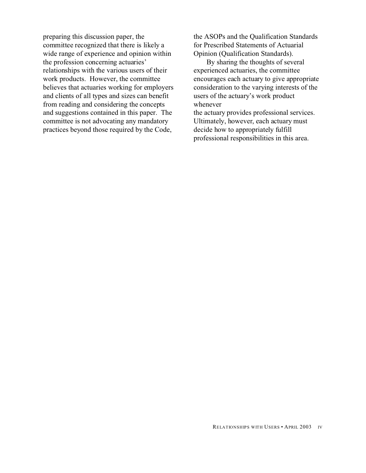preparing this discussion paper, the committee recognized that there is likely a wide range of experience and opinion within the profession concerning actuaries' relationships with the various users of their work products. However, the committee believes that actuaries working for employers and clients of all types and sizes can benefit from reading and considering the concepts and suggestions contained in this paper. The committee is not advocating any mandatory practices beyond those required by the Code,

the ASOPs and the Qualification Standards for Prescribed Statements of Actuarial Opinion (Qualification Standards).

By sharing the thoughts of several experienced actuaries, the committee encourages each actuary to give appropriate consideration to the varying interests of the users of the actuary's work product whenever

the actuary provides professional services. Ultimately, however, each actuary must decide how to appropriately fulfill professional responsibilities in this area.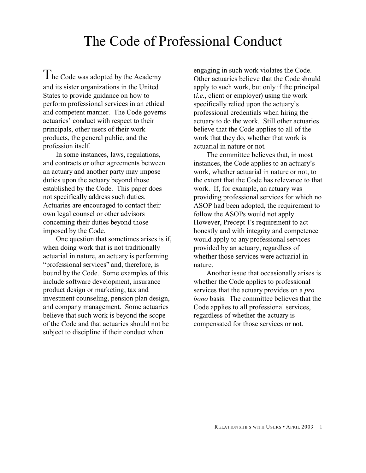## The Code of Professional Conduct

The Code was adopted by the Academy and its sister organizations in the United States to provide guidance on how to perform professional services in an ethical and competent manner. The Code governs actuaries' conduct with respect to their principals, other users of their work products, the general public, and the profession itself.

In some instances, laws, regulations, and contracts or other agreements between an actuary and another party may impose duties upon the actuary beyond those established by the Code. This paper does not specifically address such duties. Actuaries are encouraged to contact their own legal counsel or other advisors concerning their duties beyond those imposed by the Code.

One question that sometimes arises is if, when doing work that is not traditionally actuarial in nature, an actuary is performing "professional services" and, therefore, is bound by the Code. Some examples of this include software development, insurance product design or marketing, tax and investment counseling, pension plan design, and company management. Some actuaries believe that such work is beyond the scope of the Code and that actuaries should not be subject to discipline if their conduct when

engaging in such work violates the Code. Other actuaries believe that the Code should apply to such work, but only if the principal (*i.e.*, client or employer) using the work specifically relied upon the actuary's professional credentials when hiring the actuary to do the work. Still other actuaries believe that the Code applies to all of the work that they do, whether that work is actuarial in nature or not.

The committee believes that, in most instances, the Code applies to an actuary's work, whether actuarial in nature or not, to the extent that the Code has relevance to that work. If, for example, an actuary was providing professional services for which no ASOP had been adopted, the requirement to follow the ASOPs would not apply. However, Precept 1's requirement to act honestly and with integrity and competence would apply to any professional services provided by an actuary, regardless of whether those services were actuarial in nature.

Another issue that occasionally arises is whether the Code applies to professional services that the actuary provides on a *pro bono* basis. The committee believes that the Code applies to all professional services, regardless of whether the actuary is compensated for those services or not.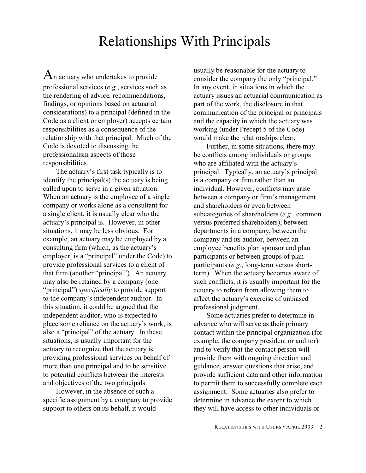## Relationships With Principals

 $A_n$  actuary who undertakes to provide professional services (*e.g.*, services such as the rendering of advice, recommendations, findings, or opinions based on actuarial considerations) to a principal (defined in the Code as a client or employer) accepts certain responsibilities as a consequence of the relationship with that principal. Much of the Code is devoted to discussing the professionalism aspects of those responsibilities.

The actuary's first task typically is to identify the principal(s) the actuary is being called upon to serve in a given situation. When an actuary is the employee of a single company or works alone as a consultant for a single client, it is usually clear who the actuary's principal is. However, in other situations, it may be less obvious. For example, an actuary may be employed by a consulting firm (which, as the actuary's employer, is a "principal" under the Code) to provide professional services to a client of that firm (another "principal"). An actuary may also be retained by a company (one "principal") *specifically* to provide support to the company's independent auditor. In this situation, it could be argued that the independent auditor, who is expected to place some reliance on the actuary's work, is also a "principal" of the actuary. In these situations, is usually important for the actuary to recognize that the actuary is providing professional services on behalf of more than one principal and to be sensitive to potential conflicts between the interests and objectives of the two principals.

However, in the absence of such a specific assignment by a company to provide support to others on its behalf, it would

usually be reasonable for the actuary to consider the company the only "principal." In any event, in situations in which the actuary issues an actuarial communication as part of the work, the disclosure in that communication of the principal or principals and the capacity in which the actuary was working (under Precept 5 of the Code) would make the relationships clear.

Further, in some situations, there may be conflicts among individuals or groups who are affiliated with the actuary's principal. Typically, an actuary's principal is a company or firm rather than an individual. However, conflicts may arise between a company or firm's management and shareholders or even between subcategories of shareholders (*e.g.*, common versus preferred shareholders), between departments in a company, between the company and its auditor, between an employee benefits plan sponsor and plan participants or between groups of plan participants (*e.g.*, long-term versus shortterm). When the actuary becomes aware of such conflicts, it is usually important for the actuary to refrain from allowing them to affect the actuary's exercise of unbiased professional judgment.

Some actuaries prefer to determine in advance who will serve as their primary contact within the principal organization (for example, the company president or auditor) and to verify that the contact person will provide them with ongoing direction and guidance, answer questions that arise, and provide sufficient data and other information to permit them to successfully complete each assignment. Some actuaries also prefer to determine in advance the extent to which they will have access to other individuals or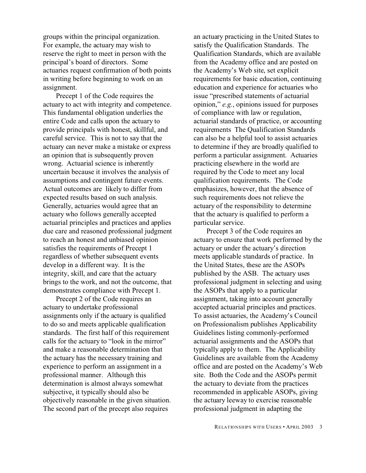groups within the principal organization. For example, the actuary may wish to reserve the right to meet in person with the principal's board of directors. Some actuaries request confirmation of both points in writing before beginning to work on an assignment.

Precept 1 of the Code requires the actuary to act with integrity and competence. This fundamental obligation underlies the entire Code and calls upon the actuary to provide principals with honest, skillful, and careful service. This is not to say that the actuary can never make a mistake or express an opinion that is subsequently proven wrong. Actuarial science is inherently uncertain because it involves the analysis of assumptions and contingent future events. Actual outcomes are likely to differ from expected results based on such analysis. Generally, actuaries would agree that an actuary who follows generally accepted actuarial principles and practices and applies due care and reasoned professional judgment to reach an honest and unbiased opinion satisfies the requirements of Precept 1 regardless of whether subsequent events develop in a different way. It is the integrity, skill, and care that the actuary brings to the work, and not the outcome, that demonstrates compliance with Precept 1.

Precept 2 of the Code requires an actuary to undertake professional assignments only if the actuary is qualified to do so and meets applicable qualification standards. The first half of this requirement calls for the actuary to "look in the mirror" and make a reasonable determination that the actuary has the necessary training and experience to perform an assignment in a professional manner. Although this determination is almost always somewhat subjective, it typically should also be objectively reasonable in the given situation. The second part of the precept also requires

an actuary practicing in the United States to satisfy the Qualification Standards. The Qualification Standards, which are available from the Academy office and are posted on the Academy's Web site, set explicit requirements for basic education, continuing education and experience for actuaries who issue "prescribed statements of actuarial opinion," *e.g.*, opinions issued for purposes of compliance with law or regulation, actuarial standards of practice, or accounting requirements The Qualification Standards can also be a helpful tool to assist actuaries to determine if they are broadly qualified to perform a particular assignment. Actuaries practicing elsewhere in the world are required by the Code to meet any local qualification requirements. The Code emphasizes, however, that the absence of such requirements does not relieve the actuary of the responsibility to determine that the actuary is qualified to perform a particular service.

Precept 3 of the Code requires an actuary to ensure that work performed by the actuary or under the actuary's direction meets applicable standards of practice. In the United States, these are the ASOPs published by the ASB. The actuary uses professional judgment in selecting and using the ASOPs that apply to a particular assignment, taking into account generally accepted actuarial principles and practices. To assist actuaries, the Academy's Council on Professionalism publishes Applicability Guidelines listing commonly-performed actuarial assignments and the ASOPs that typically apply to them. The Applicability Guidelines are available from the Academy office and are posted on the Academy's Web site. Both the Code and the ASOPs permit the actuary to deviate from the practices recommended in applicable ASOPs, giving the actuary leeway to exercise reasonable professional judgment in adapting the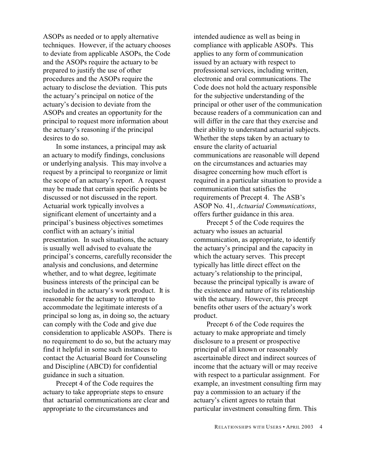ASOPs as needed or to apply alternative techniques. However, if the actuary chooses to deviate from applicable ASOPs, the Code and the ASOPs require the actuary to be prepared to justify the use of other procedures and the ASOPs require the actuary to disclose the deviation. This puts the actuary's principal on notice of the actuary's decision to deviate from the ASOPs and creates an opportunity for the principal to request more information about the actuary's reasoning if the principal desires to do so.

In some instances, a principal may ask an actuary to modify findings, conclusions or underlying analysis. This may involve a request by a principal to reorganize or limit the scope of an actuary's report. A request may be made that certain specific points be discussed or not discussed in the report. Actuarial work typically involves a significant element of uncertainty and a principal's business objectives sometimes conflict with an actuary's initial presentation. In such situations, the actuary is usually well advised to evaluate the principal's concerns, carefully reconsider the analysis and conclusions, and determine whether, and to what degree, legitimate business interests of the principal can be included in the actuary's work product. It is reasonable for the actuary to attempt to accommodate the legitimate interests of a principal so long as, in doing so, the actuary can comply with the Code and give due consideration to applicable ASOPs. There is no requirement to do so, but the actuary may find it helpful in some such instances to contact the Actuarial Board for Counseling and Discipline (ABCD) for confidential guidance in such a situation.

Precept 4 of the Code requires the actuary to take appropriate steps to ensure that actuarial communications are clear and appropriate to the circumstances and

intended audience as well as being in compliance with applicable ASOPs. This applies to any form of communication issued by an actuary with respect to professional services, including written, electronic and oral communications. The Code does not hold the actuary responsible for the subjective understanding of the principal or other user of the communication because readers of a communication can and will differ in the care that they exercise and their ability to understand actuarial subjects. Whether the steps taken by an actuary to ensure the clarity of actuarial communications are reasonable will depend on the circumstances and actuaries may disagree concerning how much effort is required in a particular situation to provide a communication that satisfies the requirements of Precept 4. The ASB's ASOP No. 41, *Actuarial Communications*, offers further guidance in this area.

Precept 5 of the Code requires the actuary who issues an actuarial communication, as appropriate, to identify the actuary's principal and the capacity in which the actuary serves. This precept typically has little direct effect on the actuary's relationship to the principal, because the principal typically is aware of the existence and nature of its relationship with the actuary. However, this precept benefits other users of the actuary's work product.

Precept 6 of the Code requires the actuary to make appropriate and timely disclosure to a present or prospective principal of all known or reasonably ascertainable direct and indirect sources of income that the actuary will or may receive with respect to a particular assignment. For example, an investment consulting firm may pay a commission to an actuary if the actuary's client agrees to retain that particular investment consulting firm. This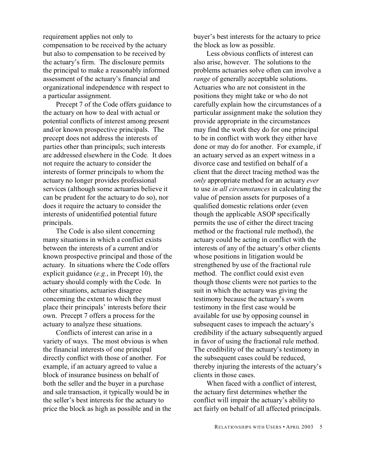requirement applies not only to compensation to be received by the actuary but also to compensation to be received by the actuary's firm. The disclosure permits the principal to make a reasonably informed assessment of the actuary's financial and organizational independence with respect to a particular assignment.

Precept 7 of the Code offers guidance to the actuary on how to deal with actual or potential conflicts of interest among present and/or known prospective principals. The precept does not address the interests of parties other than principals; such interests are addressed elsewhere in the Code. It does not require the actuary to consider the interests of former principals to whom the actuary no longer provides professional services (although some actuaries believe it can be prudent for the actuary to do so), nor does it require the actuary to consider the interests of unidentified potential future principals.

The Code is also silent concerning many situations in which a conflict exists between the interests of a current and/or known prospective principal and those of the actuary. In situations where the Code offers explicit guidance (*e.g.*, in Precept 10), the actuary should comply with the Code. In other situations, actuaries disagree concerning the extent to which they must place their principals' interests before their own. Precept 7 offers a process for the actuary to analyze these situations.

Conflicts of interest can arise in a variety of ways. The most obvious is when the financial interests of one principal directly conflict with those of another. For example, if an actuary agreed to value a block of insurance business on behalf of both the seller and the buyer in a purchase and sale transaction, it typically would be in the seller's best interests for the actuary to price the block as high as possible and in the buyer's best interests for the actuary to price the block as low as possible.

Less obvious conflicts of interest can also arise, however. The solutions to the problems actuaries solve often can involve a *range* of generally acceptable solutions. Actuaries who are not consistent in the positions they might take or who do not carefully explain how the circumstances of a particular assignment make the solution they provide appropriate in the circumstances may find the work they do for one principal to be in conflict with work they either have done or may do for another. For example, if an actuary served as an expert witness in a divorce case and testified on behalf of a client that the direct tracing method was the *only* appropriate method for an actuary *ever* to use *in all circumstances* in calculating the value of pension assets for purposes of a qualified domestic relations order (even though the applicable ASOP specifically permits the use of either the direct tracing method or the fractional rule method), the actuary could be acting in conflict with the interests of any of the actuary's other clients whose positions in litigation would be strengthened by use of the fractional rule method. The conflict could exist even though those clients were not parties to the suit in which the actuary was giving the testimony because the actuary's sworn testimony in the first case would be available for use by opposing counsel in subsequent cases to impeach the actuary's credibility if the actuary subsequently argued in favor of using the fractional rule method. The credibility of the actuary's testimony in the subsequent cases could be reduced, thereby injuring the interests of the actuary's clients in those cases.

When faced with a conflict of interest, the actuary first determines whether the conflict will impair the actuary's ability to act fairly on behalf of all affected principals.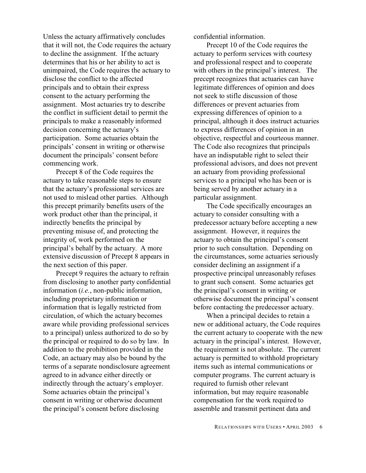Unless the actuary affirmatively concludes that it will not, the Code requires the actuary to decline the assignment. If the actuary determines that his or her ability to act is unimpaired, the Code requires the actuary to disclose the conflict to the affected principals and to obtain their express consent to the actuary performing the assignment. Most actuaries try to describe the conflict in sufficient detail to permit the principals to make a reasonably informed decision concerning the actuary's participation. Some actuaries obtain the principals' consent in writing or otherwise document the principals' consent before commencing work.

Precept 8 of the Code requires the actuary to take reasonable steps to ensure that the actuary's professional services are not used to mislead other parties. Although this precept primarily benefits users of the work product other than the principal, it indirectly benefits the principal by preventing misuse of, and protecting the integrity of, work performed on the principal's behalf by the actuary. A more extensive discussion of Precept 8 appears in the next section of this paper.

Precept 9 requires the actuary to refrain from disclosing to another party confidential information (*i.e.*, non-public information, including proprietary information or information that is legally restricted from circulation, of which the actuary becomes aware while providing professional services to a principal) unless authorized to do so by the principal or required to do so by law. In addition to the prohibition provided in the Code, an actuary may also be bound by the terms of a separate nondisclosure agreement agreed to in advance either directly or indirectly through the actuary's employer. Some actuaries obtain the principal's consent in writing or otherwise document the principal's consent before disclosing

confidential information.

Precept 10 of the Code requires the actuary to perform services with courtesy and professional respect and to cooperate with others in the principal's interest. The precept recognizes that actuaries can have legitimate differences of opinion and does not seek to stifle discussion of those differences or prevent actuaries from expressing differences of opinion to a principal, although it does instruct actuaries to express differences of opinion in an objective, respectful and courteous manner. The Code also recognizes that principals have an indisputable right to select their professional advisors, and does not prevent an actuary from providing professional services to a principal who has been or is being served by another actuary in a particular assignment.

The Code specifically encourages an actuary to consider consulting with a predecessor actuary before accepting a new assignment. However, it requires the actuary to obtain the principal's consent prior to such consultation. Depending on the circumstances, some actuaries seriously consider declining an assignment if a prospective principal unreasonably refuses to grant such consent. Some actuaries get the principal's consent in writing or otherwise document the principal's consent before contacting the predecessor actuary.

When a principal decides to retain a new or additional actuary, the Code requires the current actuary to cooperate with the new actuary in the principal's interest. However, the requirement is not absolute. The current actuary is permitted to withhold proprietary items such as internal communications or computer programs. The current actuary is required to furnish other relevant information, but may require reasonable compensation for the work required to assemble and transmit pertinent data and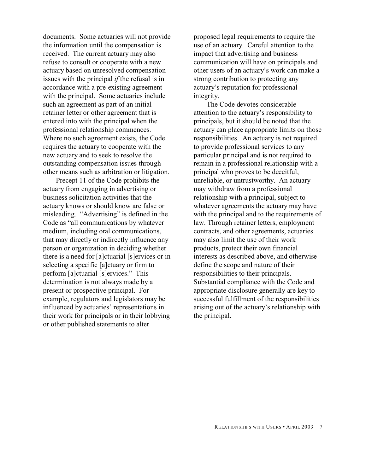documents. Some actuaries will not provide the information until the compensation is received. The current actuary may also refuse to consult or cooperate with a new actuary based on unresolved compensation issues with the principal *if* the refusal is in accordance with a pre-existing agreement with the principal. Some actuaries include such an agreement as part of an initial retainer letter or other agreement that is entered into with the principal when the professional relationship commences. Where no such agreement exists, the Code requires the actuary to cooperate with the new actuary and to seek to resolve the outstanding compensation issues through other means such as arbitration or litigation.

Precept 11 of the Code prohibits the actuary from engaging in advertising or business solicitation activities that the actuary knows or should know are false or misleading. "Advertising" is defined in the Code as "all communications by whatever medium, including oral communications, that may directly or indirectly influence any person or organization in deciding whether there is a need for [a]ctuarial [s]ervices or in selecting a specific [a]ctuary or firm to perform [a]ctuarial [s]ervices." This determination is not always made by a present or prospective principal. For example, regulators and legislators may be influenced by actuaries' representations in their work for principals or in their lobbying or other published statements to alter

proposed legal requirements to require the use of an actuary. Careful attention to the impact that advertising and business communication will have on principals and other users of an actuary's work can make a strong contribution to protecting any actuary's reputation for professional integrity.

The Code devotes considerable attention to the actuary's responsibility to principals, but it should be noted that the actuary can place appropriate limits on those responsibilities. An actuary is not required to provide professional services to any particular principal and is not required to remain in a professional relationship with a principal who proves to be deceitful, unreliable, or untrustworthy. An actuary may withdraw from a professional relationship with a principal, subject to whatever agreements the actuary may have with the principal and to the requirements of law. Through retainer letters, employment contracts, and other agreements, actuaries may also limit the use of their work products, protect their own financial interests as described above, and otherwise define the scope and nature of their responsibilities to their principals. Substantial compliance with the Code and appropriate disclosure generally are key to successful fulfillment of the responsibilities arising out of the actuary's relationship with the principal.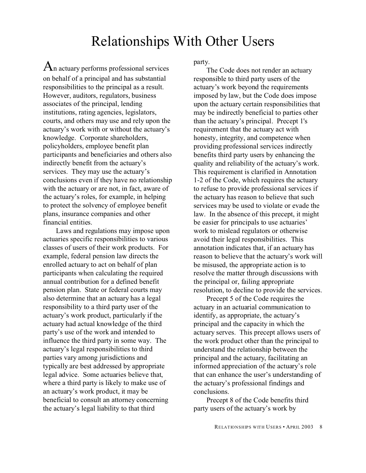## Relationships With Other Users

 $A_n$  actuary performs professional services on behalf of a principal and has substantial responsibilities to the principal as a result. However, auditors, regulators, business associates of the principal, lending institutions, rating agencies, legislators, courts, and others may use and rely upon the actuary's work with or without the actuary's knowledge. Corporate shareholders, policyholders, employee benefit plan participants and beneficiaries and others also indirectly benefit from the actuary's services. They may use the actuary's conclusions even if they have no relationship with the actuary or are not, in fact, aware of the actuary's roles, for example, in helping to protect the solvency of employee benefit plans, insurance companies and other financial entities.

Laws and regulations may impose upon actuaries specific responsibilities to various classes of users of their work products. For example, federal pension law directs the enrolled actuary to act on behalf of plan participants when calculating the required annual contribution for a defined benefit pension plan. State or federal courts may also determine that an actuary has a legal responsibility to a third party user of the actuary's work product, particularly if the actuary had actual knowledge of the third party's use of the work and intended to influence the third party in some way. The actuary's legal responsibilities to third parties vary among jurisdictions and typically are best addressed by appropriate legal advice. Some actuaries believe that, where a third party is likely to make use of an actuary's work product, it may be beneficial to consult an attorney concerning the actuary's legal liability to that third

party.

The Code does not render an actuary responsible to third party users of the actuary's work beyond the requirements imposed by law, but the Code does impose upon the actuary certain responsibilities that may be indirectly beneficial to parties other than the actuary's principal. Precept 1's requirement that the actuary act with honesty, integrity, and competence when providing professional services indirectly benefits third party users by enhancing the quality and reliability of the actuary's work. This requirement is clarified in Annotation 1-2 of the Code, which requires the actuary to refuse to provide professional services if the actuary has reason to believe that such services may be used to violate or evade the law. In the absence of this precept, it might be easier for principals to use actuaries' work to mislead regulators or otherwise avoid their legal responsibilities. This annotation indicates that, if an actuary has reason to believe that the actuary's work will be misused, the appropriate action is to resolve the matter through discussions with the principal or, failing appropriate resolution, to decline to provide the services.

Precept 5 of the Code requires the actuary in an actuarial communication to identify, as appropriate, the actuary's principal and the capacity in which the actuary serves. This precept allows users of the work product other than the principal to understand the relationship between the principal and the actuary, facilitating an informed appreciation of the actuary's role that can enhance the user's understanding of the actuary's professional findings and conclusions.

Precept 8 of the Code benefits third party users of the actuary's work by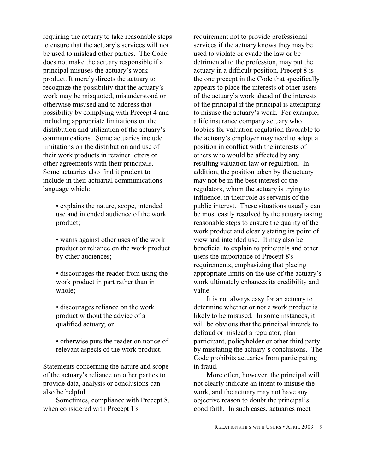requiring the actuary to take reasonable steps to ensure that the actuary's services will not be used to mislead other parties. The Code does not make the actuary responsible if a principal misuses the actuary's work product. It merely directs the actuary to recognize the possibility that the actuary's work may be misquoted, misunderstood or otherwise misused and to address that possibility by complying with Precept 4 and including appropriate limitations on the distribution and utilization of the actuary's communications. Some actuaries include limitations on the distribution and use of their work products in retainer letters or other agreements with their principals. Some actuaries also find it prudent to include in their actuarial communications language which:

- explains the nature, scope, intended use and intended audience of the work product;
- warns against other uses of the work product or reliance on the work product by other audiences;
- discourages the reader from using the work product in part rather than in whole;
- discourages reliance on the work product without the advice of a qualified actuary; or
- otherwise puts the reader on notice of relevant aspects of the work product.

Statements concerning the nature and scope of the actuary's reliance on other parties to provide data, analysis or conclusions can also be helpful.

Sometimes, compliance with Precept 8, when considered with Precept 1's

requirement not to provide professional services if the actuary knows they may be used to violate or evade the law or be detrimental to the profession, may put the actuary in a difficult position. Precept 8 is the one precept in the Code that specifically appears to place the interests of other users of the actuary's work ahead of the interests of the principal if the principal is attempting to misuse the actuary's work. For example, a life insurance company actuary who lobbies for valuation regulation favorable to the actuary's employer may need to adopt a position in conflict with the interests of others who would be affected by any resulting valuation law or regulation. In addition, the position taken by the actuary may not be in the best interest of the regulators, whom the actuary is trying to influence, in their role as servants of the public interest. These situations usually can be most easily resolved by the actuary taking reasonable steps to ensure the quality of the work product and clearly stating its point of view and intended use. It may also be beneficial to explain to principals and other users the importance of Precept 8's requirements, emphasizing that placing appropriate limits on the use of the actuary's work ultimately enhances its credibility and value.

It is not always easy for an actuary to determine whether or not a work product is likely to be misused. In some instances, it will be obvious that the principal intends to defraud or mislead a regulator, plan participant, policyholder or other third party by misstating the actuary's conclusions. The Code prohibits actuaries from participating in fraud.

More often, however, the principal will not clearly indicate an intent to misuse the work, and the actuary may not have any objective reason to doubt the principal's good faith. In such cases, actuaries meet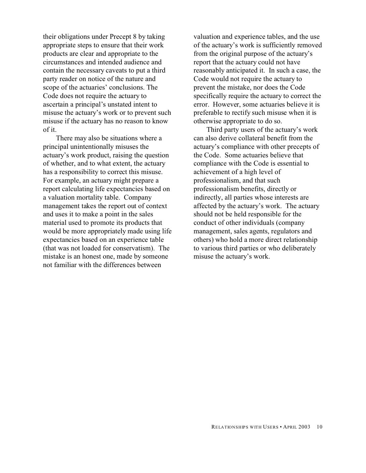their obligations under Precept 8 by taking appropriate steps to ensure that their work products are clear and appropriate to the circumstances and intended audience and contain the necessary caveats to put a third party reader on notice of the nature and scope of the actuaries' conclusions. The Code does not require the actuary to ascertain a principal's unstated intent to misuse the actuary's work or to prevent such misuse if the actuary has no reason to know of it.

There may also be situations where a principal unintentionally misuses the actuary's work product, raising the question of whether, and to what extent, the actuary has a responsibility to correct this misuse. For example, an actuary might prepare a report calculating life expectancies based on a valuation mortality table. Company management takes the report out of context and uses it to make a point in the sales material used to promote its products that would be more appropriately made using life expectancies based on an experience table (that was not loaded for conservatism). The mistake is an honest one, made by someone not familiar with the differences between

valuation and experience tables, and the use of the actuary's work is sufficiently removed from the original purpose of the actuary's report that the actuary could not have reasonably anticipated it. In such a case, the Code would not require the actuary to prevent the mistake, nor does the Code specifically require the actuary to correct the error. However, some actuaries believe it is preferable to rectify such misuse when it is otherwise appropriate to do so.

Third party users of the actuary's work can also derive collateral benefit from the actuary's compliance with other precepts of the Code. Some actuaries believe that compliance with the Code is essential to achievement of a high level of professionalism, and that such professionalism benefits, directly or indirectly, all parties whose interests are affected by the actuary's work. The actuary should not be held responsible for the conduct of other individuals (company management, sales agents, regulators and others) who hold a more direct relationship to various third parties or who deliberately misuse the actuary's work.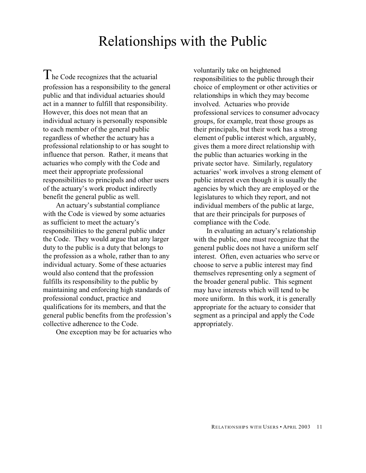## Relationships with the Public

The Code recognizes that the actuarial profession has a responsibility to the general public and that individual actuaries should act in a manner to fulfill that responsibility. However, this does not mean that an individual actuary is personally responsible to each member of the general public regardless of whether the actuary has a professional relationship to or has sought to influence that person. Rather, it means that actuaries who comply with the Code and meet their appropriate professional responsibilities to principals and other users of the actuary's work product indirectly benefit the general public as well.

An actuary's substantial compliance with the Code is viewed by some actuaries as sufficient to meet the actuary's responsibilities to the general public under the Code. They would argue that any larger duty to the public is a duty that belongs to the profession as a whole, rather than to any individual actuary. Some of these actuaries would also contend that the profession fulfills its responsibility to the public by maintaining and enforcing high standards of professional conduct, practice and qualifications for its members, and that the general public benefits from the profession's collective adherence to the Code.

One exception may be for actuaries who

voluntarily take on heightened responsibilities to the public through their choice of employment or other activities or relationships in which they may become involved. Actuaries who provide professional services to consumer advocacy groups, for example, treat those groups as their principals, but their work has a strong element of public interest which, arguably, gives them a more direct relationship with the public than actuaries working in the private sector have. Similarly, regulatory actuaries' work involves a strong element of public interest even though it is usually the agencies by which they are employed or the legislatures to which they report, and not individual members of the public at large, that are their principals for purposes of compliance with the Code.

In evaluating an actuary's relationship with the public, one must recognize that the general public does not have a uniform self interest. Often, even actuaries who serve or choose to serve a public interest may find themselves representing only a segment of the broader general public. This segment may have interests which will tend to be more uniform. In this work, it is generally appropriate for the actuary to consider that segment as a principal and apply the Code appropriately.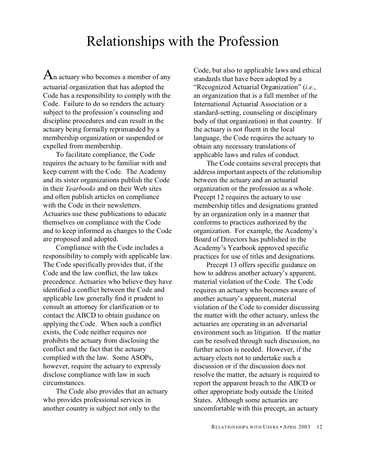#### Relationships with the Profession

 $A_n$  actuary who becomes a member of any actuarial organization that has adopted the Code has a responsibility to comply with the Code. Failure to do so renders the actuary subject to the profession's counseling and discipline procedures and can result in the actuary being formally reprimanded by a membership organization or suspended or expelled from membership.

To facilitate compliance, the Code requires the actuary to be familiar with and keep current with the Code. The Academy and its sister organizations publish the Code in their *Yearbooks* and on their Web sites and often publish articles on compliance with the Code in their newsletters. Actuaries use these publications to educate themselves on compliance with the Code and to keep informed as changes to the Code are proposed and adopted.

Compliance with the Code includes a responsibility to comply with applicable law. The Code specifically provides that, if the Code and the law conflict, the law takes precedence. Actuaries who believe they have identified a conflict between the Code and applicable law generally find it prudent to consult an attorney for clarification or to contact the ABCD to obtain guidance on applying the Code. When such a conflict exists, the Code neither requires nor prohibits the actuary from disclosing the conflict and the fact that the actuary complied with the law. Some ASOPs, however, require the actuary to expressly disclose compliance with law in such circumstances.

The Code also provides that an actuary who provides professional services in another country is subject not only to the

Code, but also to applicable laws and ethical standards that have been adopted by a "Recognized Actuarial Organization" (*i.e.*, an organization that is a full member of the International Actuarial Association or a standard-setting, counseling or disciplinary body of that organization) in that country. If the actuary is not fluent in the local language, the Code requires the actuary to obtain any necessary translations of applicable laws and rules of conduct.

The Code contains several precepts that address important aspects of the relationship between the actuary and an actuarial organization or the profession as a whole. Precept 12 requires the actuary to use membership titles and designations granted by an organization only in a manner that conforms to practices authorized by the organization. For example, the Academy's Board of Directors has published in the Academy's Yearbook approved specific practices for use of titles and designations.

Precept 13 offers specific guidance on how to address another actuary's apparent, material violation of the Code. The Code requires an actuary who becomes aware of another actuary's apparent, material violation of the Code to consider discussing the matter with the other actuary, unless the actuaries are operating in an adversarial environment such as litigation. If the matter can be resolved through such discussion, no further action is needed. However, if the actuary elects not to undertake such a discussion or if the discussion does not resolve the matter, the actuary is required to report the apparent breach to the ABCD or other appropriate body outside the United States. Although some actuaries are uncomfortable with this precept, an actuary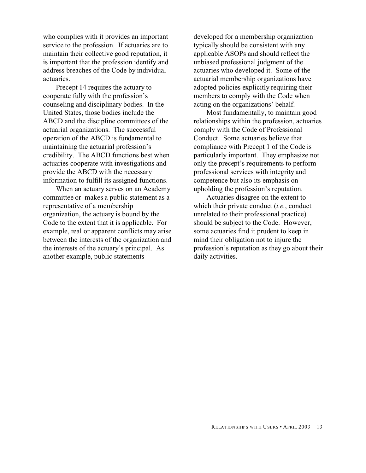who complies with it provides an important service to the profession. If actuaries are to maintain their collective good reputation, it is important that the profession identify and address breaches of the Code by individual actuaries.

Precept 14 requires the actuary to cooperate fully with the profession's counseling and disciplinary bodies. In the United States, those bodies include the ABCD and the discipline committees of the actuarial organizations. The successful operation of the ABCD is fundamental to maintaining the actuarial profession's credibility. The ABCD functions best when actuaries cooperate with investigations and provide the ABCD with the necessary information to fulfill its assigned functions.

When an actuary serves on an Academy committee or makes a public statement as a representative of a membership organization, the actuary is bound by the Code to the extent that it is applicable. For example, real or apparent conflicts may arise between the interests of the organization and the interests of the actuary's principal. As another example, public statements

developed for a membership organization typically should be consistent with any applicable ASOPs and should reflect the unbiased professional judgment of the actuaries who developed it. Some of the actuarial membership organizations have adopted policies explicitly requiring their members to comply with the Code when acting on the organizations' behalf.

Most fundamentally, to maintain good relationships within the profession, actuaries comply with the Code of Professional Conduct. Some actuaries believe that compliance with Precept 1 of the Code is particularly important. They emphasize not only the precept's requirements to perform professional services with integrity and competence but also its emphasis on upholding the profession's reputation.

Actuaries disagree on the extent to which their private conduct (*i.e.*, conduct unrelated to their professional practice) should be subject to the Code. However, some actuaries find it prudent to keep in mind their obligation not to injure the profession's reputation as they go about their daily activities.